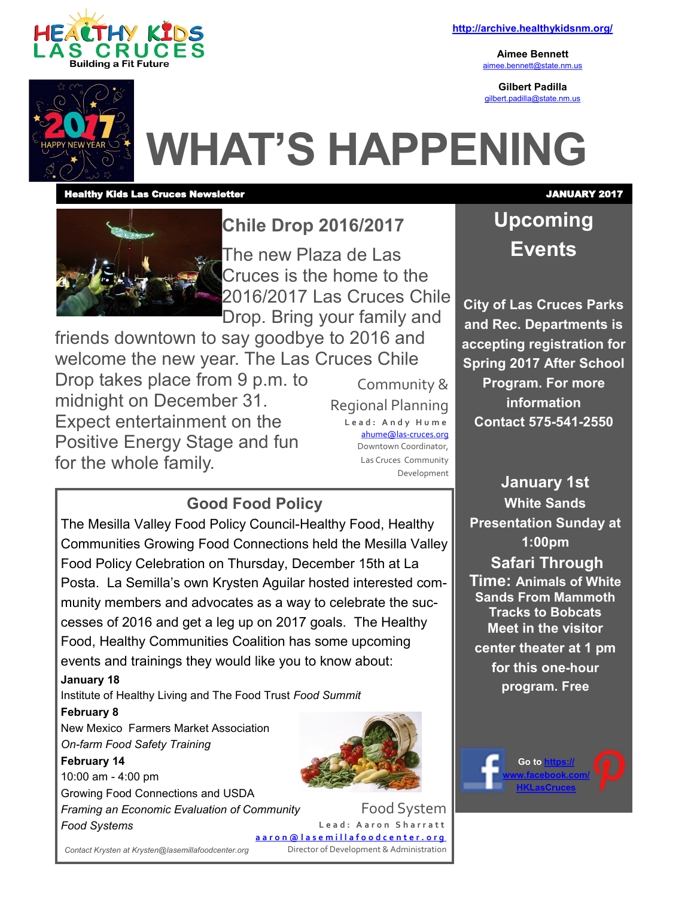

**<http://archive.healthykidsnm.org/>**

**Aimee Bennett** [aimee.bennett@state.nm.us](mailto:aimee.bennett@state.nm.us)

**Gilbert Padilla** [gilbert.padilla@state.nm.us](mailto:gilbert.padilla@state.nm.us)



# **WHAT'S HAPPENING**

### Healthy Kids Las Cruces Newsletter JANUARY 2017



**Chile Drop 2016/2017** The new Plaza de Las Cruces is the home to the 2016/2017 Las Cruces Chile Drop. Bring your family and

friends downtown to say goodbye to 2016 and welcome the new year. The Las Cruces Chile Drop takes place from 9 p.m. to midnight on December 31. Expect entertainment on the Positive Energy Stage and fun for the whole family.

Community & Regional Planning **L e a d : A n d y H u m e** [ahume@las](mailto:ahume@las-cruces.org)-cruces.org Downtown Coordinator, Las Cruces Community Development

### **Good Food Policy**

The Mesilla Valley Food Policy Council-Healthy Food, Healthy Communities Growing Food Connections held the Mesilla Valley Food Policy Celebration on Thursday, December 15th at La Posta. La Semilla's own Krysten Aguilar hosted interested community members and advocates as a way to celebrate the successes of 2016 and get a leg up on 2017 goals. The Healthy Food, Healthy Communities Coalition has some upcoming events and trainings they would like you to know about:

### **January 18**

Institute of Healthy Living and The Food Trust *Food Summit*

### **February 8**

New Mexico Farmers Market Association *On-farm Food Safety Training*

### **February 14**

10:00 am - 4:00 pm Growing Food Connections and USDA *Framing an Economic Evaluation of Community Food Systems*



Food System Lead: Aaron Sharratt **[a a r o n @ l a s e m i l l a f o o d c e n t e r . o r g](mailto:aaron@lasemillafoodcenter.org)** Director of Development & Administration

# **Upcoming Events**

**City of Las Cruces Parks and Rec. Departments is accepting registration for Spring 2017 After School Program. For more information Contact 575-541-2550**

**January 1st White Sands Presentation Sunday at 1:00pm Safari Through Time: Animals of White Sands From Mammoth Tracks to Bobcats Meet in the visitor center theater at 1 pm for this one-hour program. Free**

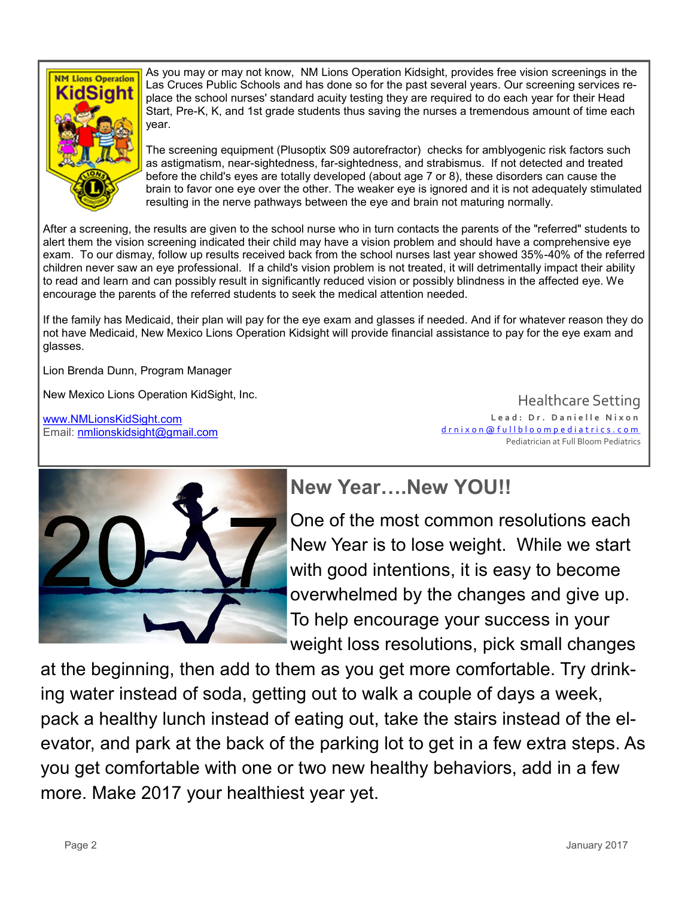

As you may or may not know, NM Lions Operation Kidsight, provides free vision screenings in the Las Cruces Public Schools and has done so for the past several years. Our screening services replace the school nurses' standard acuity testing they are required to do each year for their Head Start, Pre-K, K, and 1st grade students thus saving the nurses a tremendous amount of time each year.

The screening equipment (Plusoptix S09 autorefractor) checks for amblyogenic risk factors such as astigmatism, near-sightedness, far-sightedness, and strabismus. If not detected and treated before the child's eyes are totally developed (about age 7 or 8), these disorders can cause the brain to favor one eye over the other. The weaker eye is ignored and it is not adequately stimulated resulting in the nerve pathways between the eye and brain not maturing normally.

After a screening, the results are given to the school nurse who in turn contacts the parents of the "referred" students to alert them the vision screening indicated their child may have a vision problem and should have a comprehensive eye exam. To our dismay, follow up results received back from the school nurses last year showed 35%-40% of the referred children never saw an eye professional. If a child's vision problem is not treated, it will detrimentally impact their ability to read and learn and can possibly result in significantly reduced vision or possibly blindness in the affected eye. We encourage the parents of the referred students to seek the medical attention needed.

If the family has Medicaid, their plan will pay for the eye exam and glasses if needed. And if for whatever reason they do not have Medicaid, New Mexico Lions Operation Kidsight will provide financial assistance to pay for the eye exam and glasses.

Lion Brenda Dunn, Program Manager

New Mexico Lions Operation KidSight, Inc.

[www.NMLionsKidSight.com](http://www.NMLionsKidSight.com) Email: [nmlionskidsight@gmail.com](mailto:nmlionskidsight@gmail.com)

Healthcare Setting Lead: Dr. Danielle Nixon [d r n i x o n @ f u l l b l o o m p e d i a t r i c s . c o m](mailto:drnixon@fullbloompediatrics.com) Pediatrician at Full Bloom Pediatrics



# **New Year….New YOU!!**

One of the most common resolutions each New Year is to lose weight. While we start with good intentions, it is easy to become overwhelmed by the changes and give up. To help encourage your success in your weight loss resolutions, pick small changes

at the beginning, then add to them as you get more comfortable. Try drinking water instead of soda, getting out to walk a couple of days a week, pack a healthy lunch instead of eating out, take the stairs instead of the elevator, and park at the back of the parking lot to get in a few extra steps. As you get comfortable with one or two new healthy behaviors, add in a few more. Make 2017 your healthiest year yet.